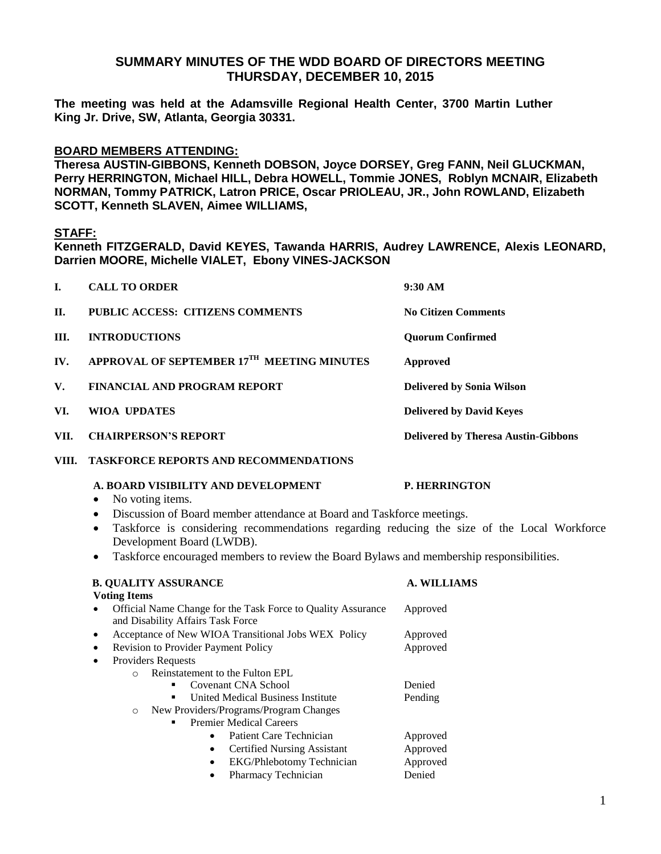# **SUMMARY MINUTES OF THE WDD BOARD OF DIRECTORS MEETING THURSDAY, DECEMBER 10, 2015**

**The meeting was held at the Adamsville Regional Health Center, 3700 Martin Luther King Jr. Drive, SW, Atlanta, Georgia 30331.** 

## **BOARD MEMBERS ATTENDING:**

**Theresa AUSTIN-GIBBONS, Kenneth DOBSON, Joyce DORSEY, Greg FANN, Neil GLUCKMAN, Perry HERRINGTON, Michael HILL, Debra HOWELL, Tommie JONES, Roblyn MCNAIR, Elizabeth NORMAN, Tommy PATRICK, Latron PRICE, Oscar PRIOLEAU, JR., John ROWLAND, Elizabeth SCOTT, Kenneth SLAVEN, Aimee WILLIAMS,** 

## **STAFF:**

**Kenneth FITZGERALD, David KEYES, Tawanda HARRIS, Audrey LAWRENCE, Alexis LEONARD, Darrien MOORE, Michelle VIALET, Ebony VINES-JACKSON**

| I.                   | <b>CALL TO ORDER</b>                       | 9:30 AM                                    |
|----------------------|--------------------------------------------|--------------------------------------------|
| П.                   | PUBLIC ACCESS: CITIZENS COMMENTS           | <b>No Citizen Comments</b>                 |
| III.                 | <b>INTRODUCTIONS</b>                       | <b>Ouorum Confirmed</b>                    |
| $\mathbf{IV}$ .      | APPROVAL OF SEPTEMBER 17TH MEETING MINUTES | Approved                                   |
| $\mathbf{V}_{\cdot}$ | <b>FINANCIAL AND PROGRAM REPORT</b>        | <b>Delivered by Sonia Wilson</b>           |
| VI.                  | WIOA UPDATES                               | <b>Delivered by David Keyes</b>            |
| VII.                 | <b>CHAIRPERSON'S REPORT</b>                | <b>Delivered by Theresa Austin-Gibbons</b> |

**VIII. TASKFORCE REPORTS AND RECOMMENDATIONS**

### **A. BOARD VISIBILITY AND DEVELOPMENT P. HERRINGTON**

- No voting items.
- Discussion of Board member attendance at Board and Taskforce meetings.
- Taskforce is considering recommendations regarding reducing the size of the Local Workforce Development Board (LWDB).
- Taskforce encouraged members to review the Board Bylaws and membership responsibilities.

| <b>B. QUALITY ASSURANCE</b>                                                                                    | <b>A. WILLIAMS</b> |
|----------------------------------------------------------------------------------------------------------------|--------------------|
| <b>Voting Items</b>                                                                                            |                    |
| Official Name Change for the Task Force to Quality Assurance<br>$\bullet$<br>and Disability Affairs Task Force | Approved           |
| Acceptance of New WIOA Transitional Jobs WEX Policy<br>$\bullet$                                               | Approved           |
| <b>Revision to Provider Payment Policy</b><br>$\bullet$                                                        | Approved           |
| <b>Providers Requests</b><br>$\bullet$                                                                         |                    |
| Reinstatement to the Fulton EPL<br>$\bigcirc$                                                                  |                    |
| Covenant CNA School<br>٠                                                                                       | Denied             |
| United Medical Business Institute<br>٠                                                                         | Pending            |
| New Providers/Programs/Program Changes<br>$\circ$                                                              |                    |
| <b>Premier Medical Careers</b><br>٠                                                                            |                    |
| Patient Care Technician                                                                                        | Approved           |
| <b>Certified Nursing Assistant</b><br>$\bullet$                                                                | Approved           |
| <b>EKG/Phlebotomy Technician</b><br>٠                                                                          | Approved           |
| Pharmacy Technician                                                                                            | Denied             |